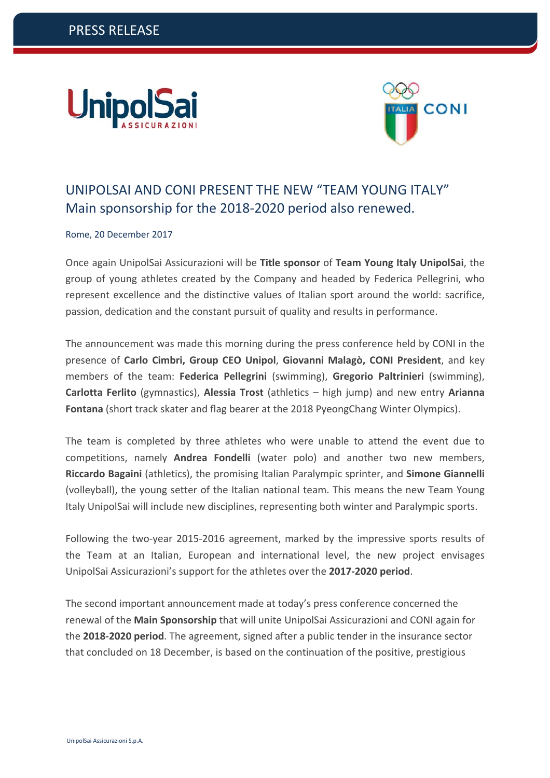



# UNIPOLSAI AND CONI PRESENT THE NEW "TEAM YOUNG ITALY" Main sponsorship for the 2018‐2020 period also renewed.

Rome, 20 December 2017

Once again UnipolSai Assicurazioni will be **Title sponsor** of **Team Young Italy UnipolSai**, the group of young athletes created by the Company and headed by Federica Pellegrini, who represent excellence and the distinctive values of Italian sport around the world: sacrifice, passion, dedication and the constant pursuit of quality and results in performance.

The announcement was made this morning during the press conference held by CONI in the presence of **Carlo Cimbri, Group CEO Unipol**, **Giovanni Malagò, CONI President**, and key members of the team: **Federica Pellegrini** (swimming), **Gregorio Paltrinieri** (swimming), **Carlotta Ferlito** (gymnastics), **Alessia Trost** (athletics – high jump) and new entry **Arianna Fontana** (short track skater and flag bearer at the 2018 PyeongChang Winter Olympics).

The team is completed by three athletes who were unable to attend the event due to competitions, namely **Andrea Fondelli** (water polo) and another two new members, **Riccardo Bagaini** (athletics), the promising Italian Paralympic sprinter, and **Simone Giannelli** (volleyball), the young setter of the Italian national team. This means the new Team Young Italy UnipolSai will include new disciplines, representing both winter and Paralympic sports.

Following the two-year 2015-2016 agreement, marked by the impressive sports results of the Team at an Italian, European and international level, the new project envisages UnipolSai Assicurazioni's support for the athletes over the **2017‐2020 period**.

The second important announcement made at today's press conference concerned the renewal of the **Main Sponsorship** that will unite UnipolSai Assicurazioni and CONI again for the **2018‐2020 period**. The agreement, signed after a public tender in the insurance sector that concluded on 18 December, is based on the continuation of the positive, prestigious